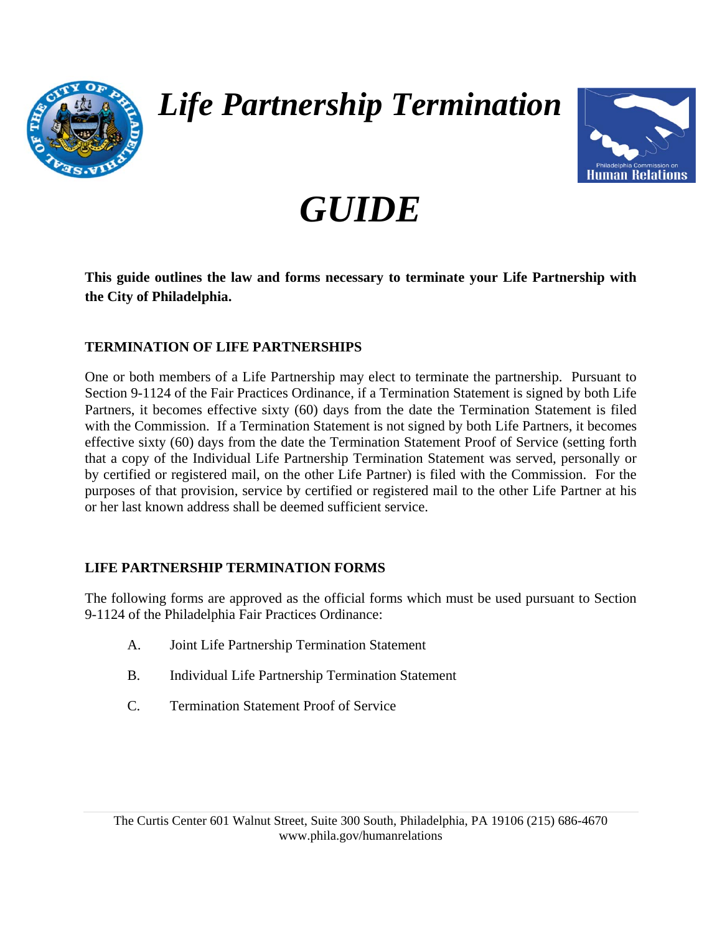

## *Life Partnership Termination*



# *GUIDE*

**This guide outlines the law and forms necessary to terminate your Life Partnership with the City of Philadelphia.** 

#### **TERMINATION OF LIFE PARTNERSHIPS**

One or both members of a Life Partnership may elect to terminate the partnership. Pursuant to Section 9-1124 of the Fair Practices Ordinance, if a Termination Statement is signed by both Life Partners, it becomes effective sixty (60) days from the date the Termination Statement is filed with the Commission. If a Termination Statement is not signed by both Life Partners, it becomes effective sixty (60) days from the date the Termination Statement Proof of Service (setting forth that a copy of the Individual Life Partnership Termination Statement was served, personally or by certified or registered mail, on the other Life Partner) is filed with the Commission. For the purposes of that provision, service by certified or registered mail to the other Life Partner at his or her last known address shall be deemed sufficient service.

#### **LIFE PARTNERSHIP TERMINATION FORMS**

The following forms are approved as the official forms which must be used pursuant to Section 9-1124 of the Philadelphia Fair Practices Ordinance:

- A. Joint Life Partnership Termination Statement
- B. Individual Life Partnership Termination Statement
- C. Termination Statement Proof of Service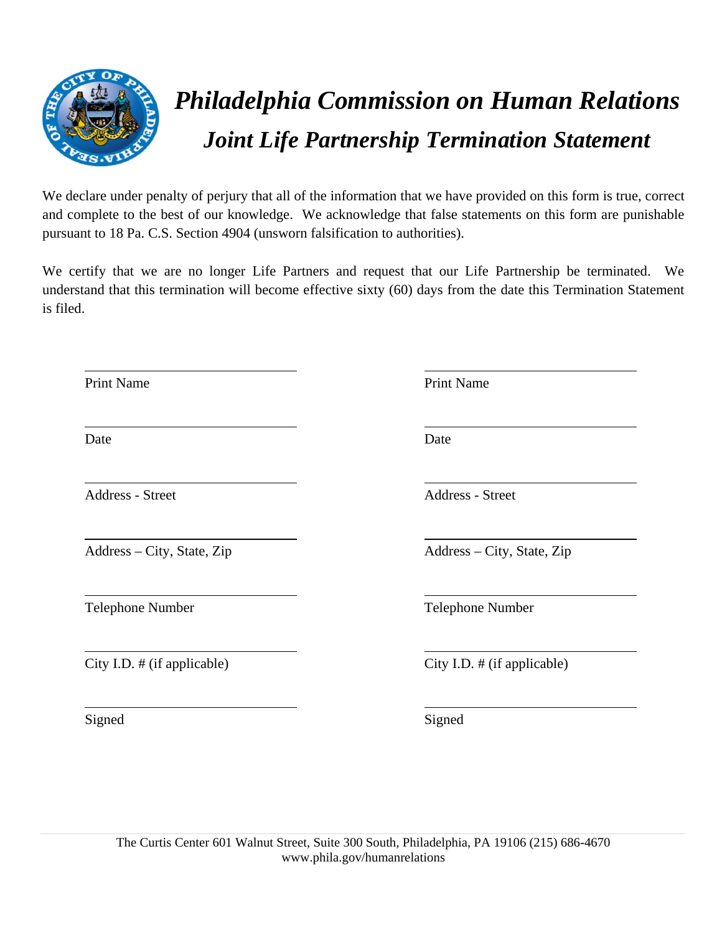

### *Philadelphia Commission on Human Relations Joint Life Partnership Termination Statement*

We declare under penalty of perjury that all of the information that we have provided on this form is true, correct and complete to the best of our knowledge. We acknowledge that false statements on this form are punishable pursuant to 18 Pa. C.S. Section 4904 (unsworn falsification to authorities).

We certify that we are no longer Life Partners and request that our Life Partnership be terminated. We understand that this termination will become effective sixty (60) days from the date this Termination Statement is filed.

 $\overline{a}$ 

 $\overline{a}$ 

 $\overline{a}$ 

 $\overline{a}$ 

 $\overline{a}$ 

 $\overline{a}$ 

 $\overline{a}$ 

Address - Street Address - Street

Address – City, State, Zip Address – City, State, Zip

City I.D. # (if applicable) City I.D. # (if applicable)

Signed Signed Signed

Print Name Print Name

Date Date Date

Telephone Number Telephone Number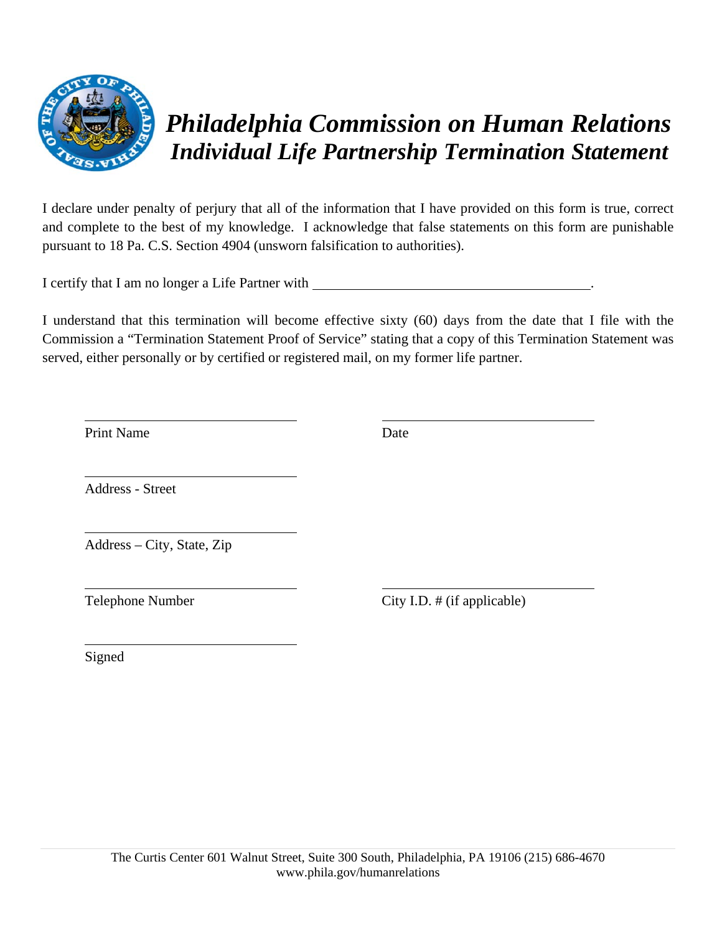

### *Philadelphia Commission on Human Relations Individual Life Partnership Termination Statement*

I declare under penalty of perjury that all of the information that I have provided on this form is true, correct and complete to the best of my knowledge. I acknowledge that false statements on this form are punishable pursuant to 18 Pa. C.S. Section 4904 (unsworn falsification to authorities).

I certify that I am no longer a Life Partner with .

I understand that this termination will become effective sixty (60) days from the date that I file with the Commission a "Termination Statement Proof of Service" stating that a copy of this Termination Statement was served, either personally or by certified or registered mail, on my former life partner.

Print Name Date

 $\overline{a}$ 

 $\overline{a}$ 

 $\overline{a}$ 

 $\overline{a}$ 

 $\overline{a}$ 

Address - Street

Address – City, State, Zip

Telephone Number City I.D. # (if applicable)

Signed